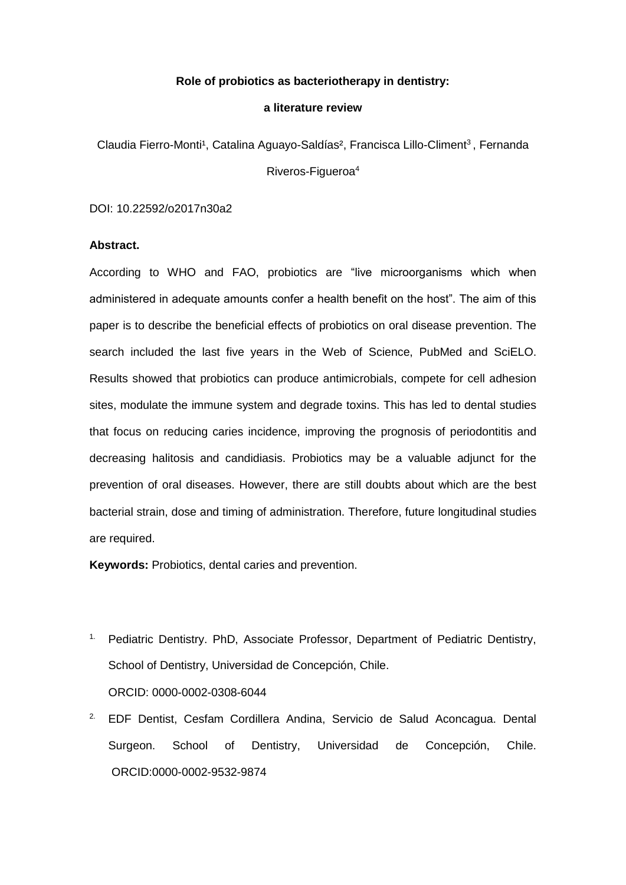## **Role of probiotics as bacteriotherapy in dentistry:**

#### **a literature review**

Claudia Fierro-Monti<sup>1</sup>, Catalina Aguayo-Saldías<sup>2</sup>, Francisca Lillo-Climent<sup>3</sup>, Fernanda Riveros-Figueroa<sup>4</sup>

DOI: 10.22592/o2017n30a2

# **Abstract.**

According to WHO and FAO, probiotics are "live microorganisms which when administered in adequate amounts confer a health benefit on the host". The aim of this paper is to describe the beneficial effects of probiotics on oral disease prevention. The search included the last five years in the Web of Science, PubMed and SciELO. Results showed that probiotics can produce antimicrobials, compete for cell adhesion sites, modulate the immune system and degrade toxins. This has led to dental studies that focus on reducing caries incidence, improving the prognosis of periodontitis and decreasing halitosis and candidiasis. Probiotics may be a valuable adjunct for the prevention of oral diseases. However, there are still doubts about which are the best bacterial strain, dose and timing of administration. Therefore, future longitudinal studies are required.

**Keywords:** Probiotics, dental caries and prevention.

- <sup>1.</sup> Pediatric Dentistry. PhD, Associate Professor, Department of Pediatric Dentistry, School of Dentistry, Universidad de Concepción, Chile. ORCID: 0000-0002-0308-6044
- 2. EDF Dentist, Cesfam Cordillera Andina, Servicio de Salud Aconcagua. Dental Surgeon. School of Dentistry, Universidad de Concepción, Chile. [ORCID:0000-0002-9532-9874](http://orcid.org/0000-0002-9532-9874)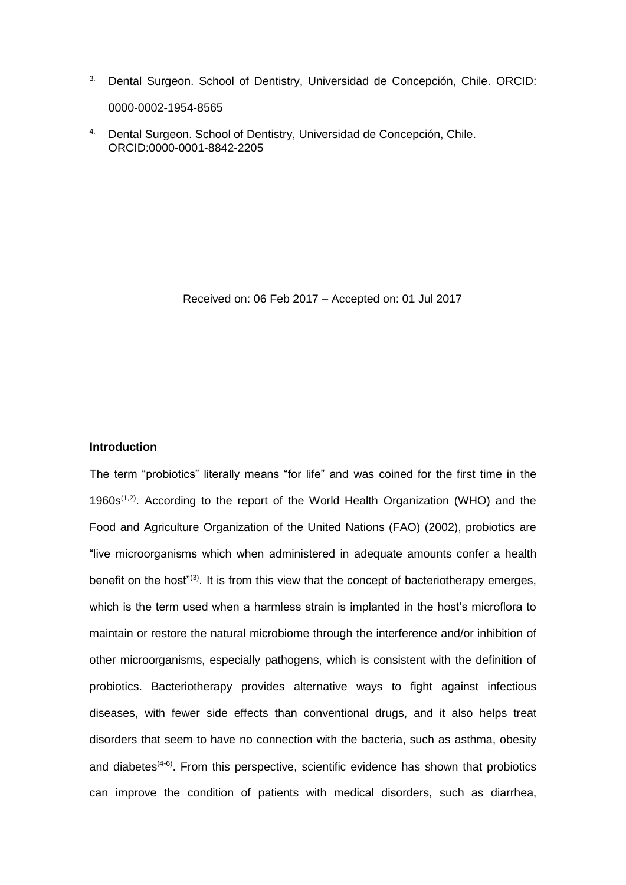- 3. Dental Surgeon. School of Dentistry, Universidad de Concepción, Chile. [ORCID:](http://orcid.org/0000-0002-1954-8565) [0000-0002-1954-8565](http://orcid.org/0000-0002-1954-8565)
- 4. Dental Surgeon. School of Dentistry, Universidad de Concepción, Chile. [ORCID:0000-0001-8842-2205](http://orcid.org/0000-0001-8842-2205)

Received on: 06 Feb 2017 – Accepted on: 01 Jul 2017

## **Introduction**

The term "probiotics" literally means "for life" and was coined for the first time in the 1960s<sup> $(1,2)$ </sup>. According to the report of the World Health Organization (WHO) and the Food and Agriculture Organization of the United Nations (FAO) (2002), probiotics are "live microorganisms which when administered in adequate amounts confer a health benefit on the host"<sup>(3)</sup>. It is from this view that the concept of bacteriotherapy emerges, which is the term used when a harmless strain is implanted in the host's microflora to maintain or restore the natural microbiome through the interference and/or inhibition of other microorganisms, especially pathogens, which is consistent with the definition of probiotics. Bacteriotherapy provides alternative ways to fight against infectious diseases, with fewer side effects than conventional drugs, and it also helps treat disorders that seem to have no connection with the bacteria, such as asthma, obesity and diabetes $(4-6)$ . From this perspective, scientific evidence has shown that probiotics can improve the condition of patients with medical disorders, such as diarrhea,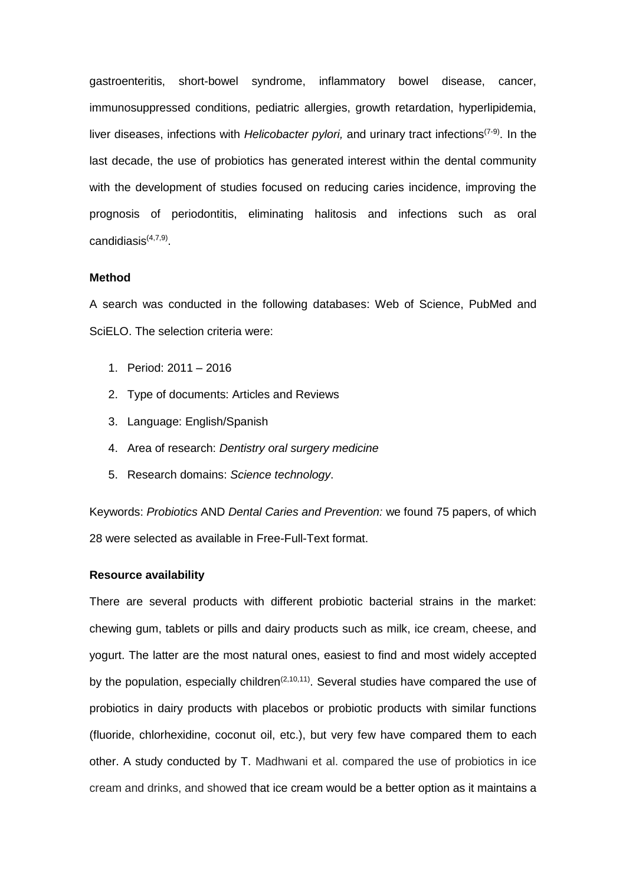gastroenteritis, short-bowel syndrome, inflammatory bowel disease, cancer, immunosuppressed conditions, pediatric allergies, growth retardation, hyperlipidemia, liver diseases, infections with *Helicobacter pylori,* and urinary tract infections<sup>(7-9)</sup>. In the last decade, the use of probiotics has generated interest within the dental community with the development of studies focused on reducing caries incidence, improving the prognosis of periodontitis, eliminating halitosis and infections such as oral candidiasis(4,7,9) .

## **Method**

A search was conducted in the following databases: Web of Science, PubMed and SciELO. The selection criteria were:

- 1. Period: 2011 2016
- 2. Type of documents: Articles and Reviews
- 3. Language: English/Spanish
- 4. Area of research: *Dentistry oral surgery medicine*
- 5. Research domains: *Science technology*.

Keywords: *Probiotics* AND *Dental Caries and Prevention:* we found 75 papers, of which 28 were selected as available in Free-Full-Text format.

## **Resource availability**

There are several products with different probiotic bacterial strains in the market: chewing gum, tablets or pills and dairy products such as milk, ice cream, cheese, and yogurt. The latter are the most natural ones, easiest to find and most widely accepted by the population, especially children<sup> $(2,10,11)$ </sup>. Several studies have compared the use of probiotics in dairy products with placebos or probiotic products with similar functions (fluoride, chlorhexidine, coconut oil, etc.), but very few have compared them to each other. A study conducted by T. Madhwani et al. compared the use of probiotics in ice cream and drinks, and showed that ice cream would be a better option as it maintains a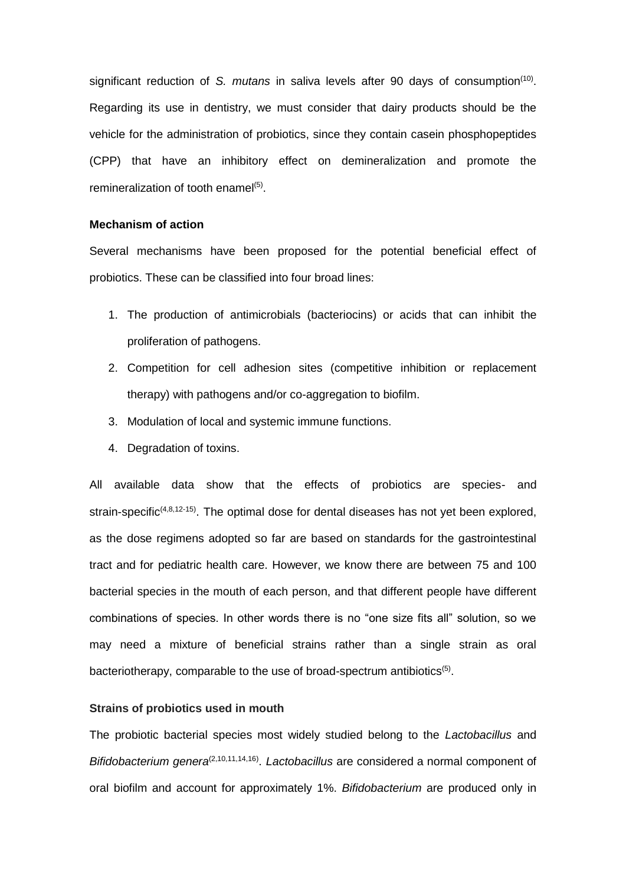significant reduction of S. mutans in saliva levels after 90 days of consumption<sup>(10)</sup>. Regarding its use in dentistry, we must consider that dairy products should be the vehicle for the administration of probiotics, since they contain casein phosphopeptides (CPP) that have an inhibitory effect on demineralization and promote the remineralization of tooth enamel<sup>(5)</sup>.

## **Mechanism of action**

Several mechanisms have been proposed for the potential beneficial effect of probiotics. These can be classified into four broad lines:

- 1. The production of antimicrobials (bacteriocins) or acids that can inhibit the proliferation of pathogens.
- 2. Competition for cell adhesion sites (competitive inhibition or replacement therapy) with pathogens and/or co-aggregation to biofilm.
- 3. Modulation of local and systemic immune functions.
- 4. Degradation of toxins.

All available data show that the effects of probiotics are species- and strain-specific<sup>(4,8,12-15)</sup>. The optimal dose for dental diseases has not yet been explored, as the dose regimens adopted so far are based on standards for the gastrointestinal tract and for pediatric health care. However, we know there are between 75 and 100 bacterial species in the mouth of each person, and that different people have different combinations of species. In other words there is no "one size fits all" solution, so we may need a mixture of beneficial strains rather than a single strain as oral bacteriotherapy, comparable to the use of broad-spectrum antibiotics<sup>(5)</sup>.

# **Strains of probiotics used in mouth**

The probiotic bacterial species most widely studied belong to the *Lactobacillus* and Bifidobacterium genera<sup>(2,10,11,14,16)</sup>. Lactobacillus are considered a normal component of oral biofilm and account for approximately 1%. *Bifidobacterium* are produced only in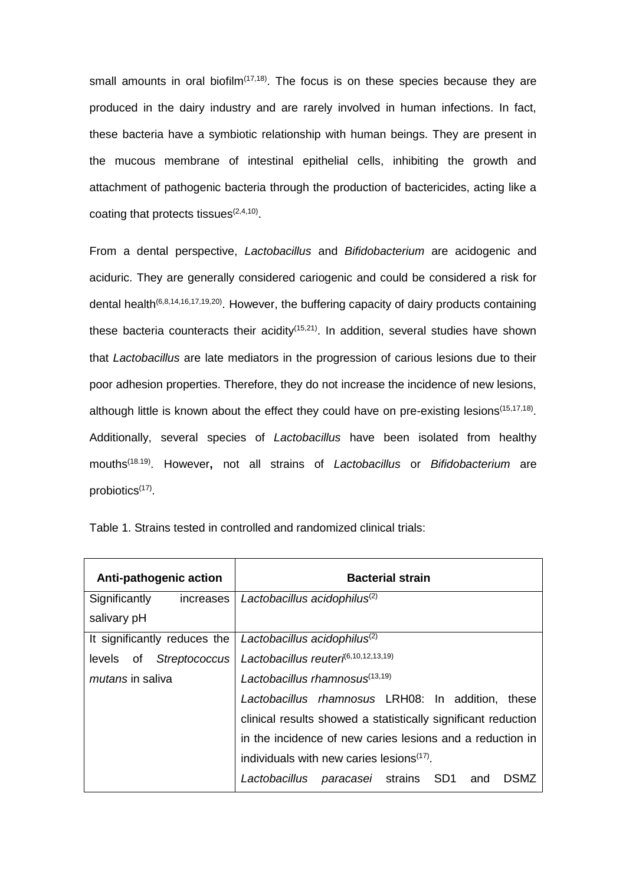small amounts in oral biofilm $(17,18)$ . The focus is on these species because they are produced in the dairy industry and are rarely involved in human infections. In fact, these bacteria have a symbiotic relationship with human beings. They are present in the mucous membrane of intestinal epithelial cells, inhibiting the growth and attachment of pathogenic bacteria through the production of bactericides, acting like a coating that protects tissues $(2,4,10)$ .

From a dental perspective, *Lactobacillus* and *Bifidobacterium* are acidogenic and aciduric. They are generally considered cariogenic and could be considered a risk for dental health<sup>(6,8,14,16,17,19,20)</sup>. However, the buffering capacity of dairy products containing these bacteria counteracts their acidity<sup> $(15,21)$ </sup>. In addition, several studies have shown that *Lactobacillus* are late mediators in the progression of carious lesions due to their poor adhesion properties. Therefore, they do not increase the incidence of new lesions, although little is known about the effect they could have on pre-existing lesions<sup>(15,17,18)</sup>. Additionally, several species of *Lactobacillus* have been isolated from healthy mouths(18.19) . However**,** not all strains of *Lactobacillus* or *Bifidobacterium* are probiotics<sup>(17)</sup>.

| Anti-pathogenic action       | <b>Bacterial strain</b>                                       |
|------------------------------|---------------------------------------------------------------|
| Significantly<br>increases   | Lactobacillus acidophilus <sup>(2)</sup>                      |
| salivary pH                  |                                                               |
| It significantly reduces the | Lactobacillus acidophilus <sup>(2)</sup>                      |
| Streptococcus<br>levels of   | Lactobacillus reuteri <sup>6,10,12,13,19)</sup>               |
| <i>mutans</i> in saliva      | Lactobacillus rhamnosus <sup>(13,19)</sup>                    |
|                              | Lactobacillus rhamnosus LRH08: In addition,<br>these          |
|                              | clinical results showed a statistically significant reduction |
|                              | in the incidence of new caries lesions and a reduction in     |
|                              | individuals with new caries lesions <sup>(17)</sup> .         |
|                              | Lactobacillus paracasei strains SD1<br><b>DSMZ</b><br>and     |

Table 1. Strains tested in controlled and randomized clinical trials: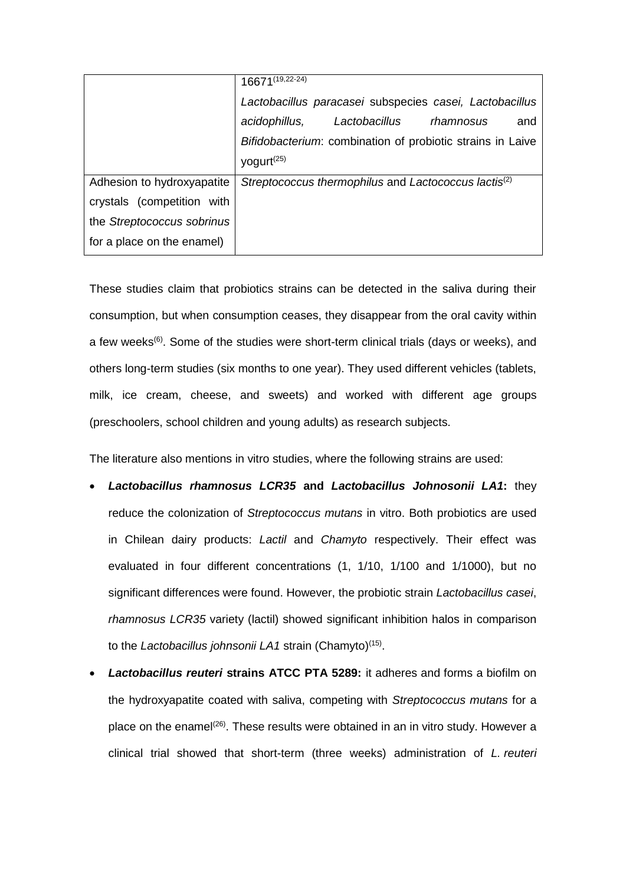|                            | $16671^{(19,22-24)}$                                             |
|----------------------------|------------------------------------------------------------------|
|                            | Lactobacillus paracasei subspecies casei, Lactobacillus          |
|                            | acidophillus,<br>Lactobacillus rhamnosus<br>and                  |
|                            | Bifidobacterium: combination of probiotic strains in Laive       |
|                            | yogurt <sup>(25)</sup>                                           |
| Adhesion to hydroxyapatite | Streptococcus thermophilus and Lactococcus lactis <sup>(2)</sup> |
| crystals (competition with |                                                                  |
| the Streptococcus sobrinus |                                                                  |
| for a place on the enamel) |                                                                  |

These studies claim that probiotics strains can be detected in the saliva during their consumption, but when consumption ceases, they disappear from the oral cavity within a few weeks<sup>(6)</sup>. Some of the studies were short-term clinical trials (days or weeks), and others long-term studies (six months to one year). They used different vehicles (tablets, milk, ice cream, cheese, and sweets) and worked with different age groups (preschoolers, school children and young adults) as research subjects.

The literature also mentions in vitro studies, where the following strains are used:

- *Lactobacillus rhamnosus LCR35* **and** *Lactobacillus Johnosonii LA1***:** they reduce the colonization of *Streptococcus mutans* in vitro. Both probiotics are used in Chilean dairy products: *Lactil* and *Chamyto* respectively. Their effect was evaluated in four different concentrations (1, 1/10, 1/100 and 1/1000), but no significant differences were found. However, the probiotic strain *Lactobacillus casei*, *rhamnosus LCR35* variety (lactil) showed significant inhibition halos in comparison to the Lactobacillus johnsonii LA1 strain (Chamyto)<sup>(15)</sup>.
- *Lactobacillus reuteri* **strains ATCC PTA 5289:** it adheres and forms a biofilm on the hydroxyapatite coated with saliva, competing with *Streptococcus mutans* for a place on the enamel<sup>(26)</sup>. These results were obtained in an in vitro study. However a clinical trial showed that short-term (three weeks) administration of *L. reuteri*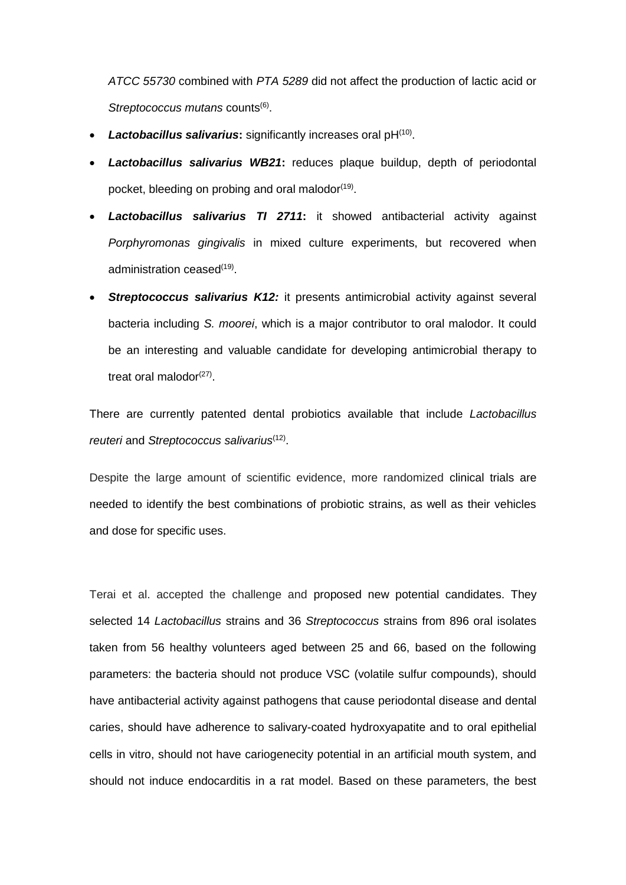*ATCC 55730* combined with *PTA 5289* did not affect the production of lactic acid or Streptococcus mutans counts<sup>(6)</sup>.

- Lactobacillus salivarius: significantly increases oral pH<sup>(10)</sup>.
- *Lactobacillus salivarius WB21***:** reduces plaque buildup, depth of periodontal pocket, bleeding on probing and oral malodor<sup>(19)</sup>.
- *Lactobacillus salivarius TI 2711***:** it showed antibacterial activity against *Porphyromonas gingivalis* in mixed culture experiments, but recovered when administration ceased<sup>(19)</sup>.
- **Streptococcus salivarius K12:** it presents antimicrobial activity against several bacteria including *S. moorei*, which is a major contributor to oral malodor. It could be an interesting and valuable candidate for developing antimicrobial therapy to treat oral malodor<sup>(27)</sup>.

There are currently patented dental probiotics available that include *Lactobacillus reuteri* and *Streptococcus salivarius*(12) .

Despite the large amount of scientific evidence, more randomized clinical trials are needed to identify the best combinations of probiotic strains, as well as their vehicles and dose for specific uses.

Terai et al. accepted the challenge and proposed new potential candidates. They selected 14 *Lactobacillus* strains and 36 *Streptococcus* strains from 896 oral isolates taken from 56 healthy volunteers aged between 25 and 66, based on the following parameters: the bacteria should not produce VSC (volatile sulfur compounds), should have antibacterial activity against pathogens that cause periodontal disease and dental caries, should have adherence to salivary-coated hydroxyapatite and to oral epithelial cells in vitro, should not have cariogenecity potential in an artificial mouth system, and should not induce endocarditis in a rat model. Based on these parameters, the best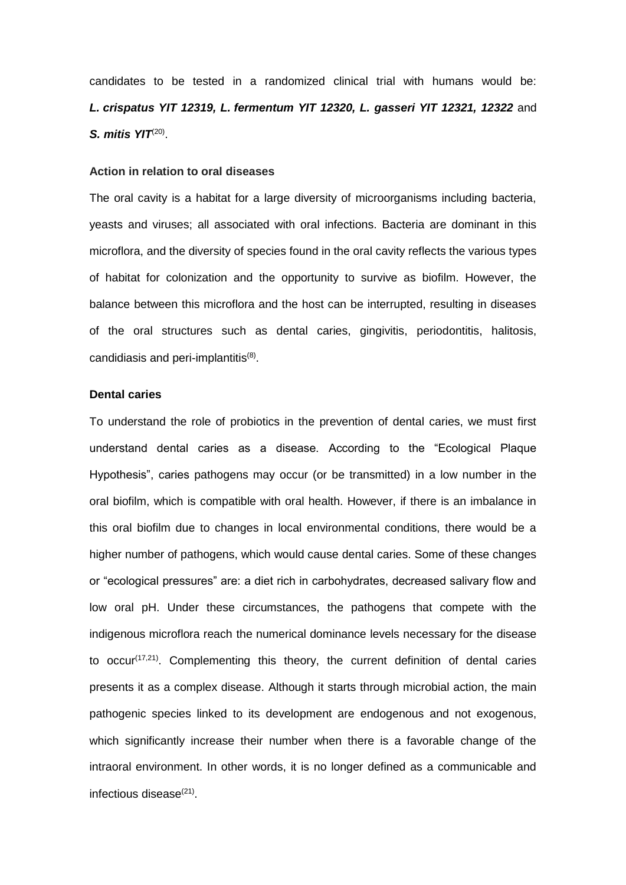candidates to be tested in a randomized clinical trial with humans would be: *L. crispatus YIT 12319, L. fermentum YIT 12320, L. gasseri YIT 12321, 12322* and **S.** *mitis YIT*<sup>(20)</sup>.

## **Action in relation to oral diseases**

The oral cavity is a habitat for a large diversity of microorganisms including bacteria, yeasts and viruses; all associated with oral infections. Bacteria are dominant in this microflora, and the diversity of species found in the oral cavity reflects the various types of habitat for colonization and the opportunity to survive as biofilm. However, the balance between this microflora and the host can be interrupted, resulting in diseases of the oral structures such as dental caries, gingivitis, periodontitis, halitosis, candidiasis and peri-implantitis<sup>(8)</sup>.

#### **Dental caries**

To understand the role of probiotics in the prevention of dental caries, we must first understand dental caries as a disease. According to the "Ecological Plaque Hypothesis", caries pathogens may occur (or be transmitted) in a low number in the oral biofilm, which is compatible with oral health. However, if there is an imbalance in this oral biofilm due to changes in local environmental conditions, there would be a higher number of pathogens, which would cause dental caries. Some of these changes or "ecological pressures" are: a diet rich in carbohydrates, decreased salivary flow and low oral pH. Under these circumstances, the pathogens that compete with the indigenous microflora reach the numerical dominance levels necessary for the disease to occur<sup>(17,21)</sup>. Complementing this theory, the current definition of dental caries presents it as a complex disease. Although it starts through microbial action, the main pathogenic species linked to its development are endogenous and not exogenous, which significantly increase their number when there is a favorable change of the intraoral environment. In other words, it is no longer defined as a communicable and infectious disease<sup>(21)</sup>.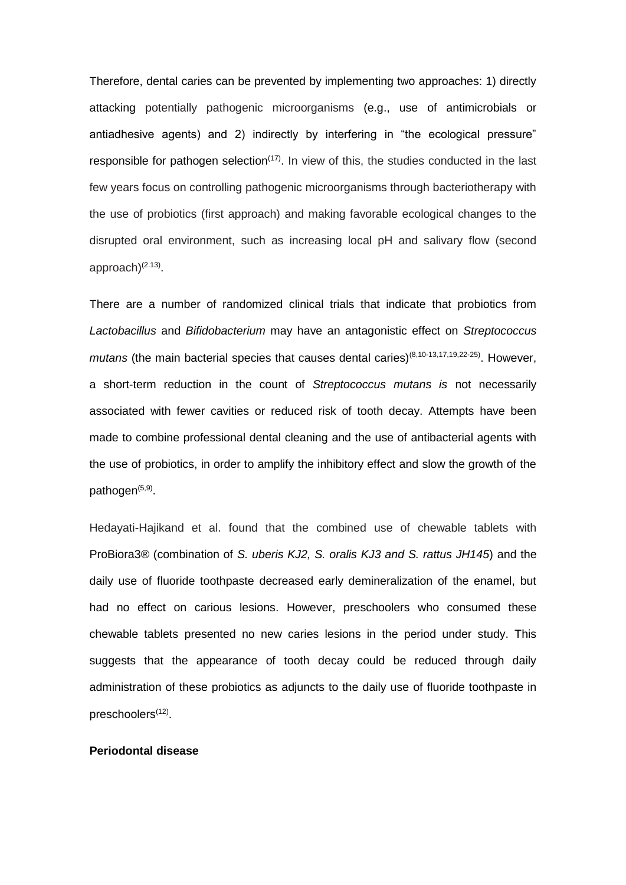Therefore, dental caries can be prevented by implementing two approaches: 1) directly attacking potentially pathogenic microorganisms (e.g., use of antimicrobials or antiadhesive agents) and 2) indirectly by interfering in "the ecological pressure" responsible for pathogen selection<sup> $(17)$ </sup>. In view of this, the studies conducted in the last few years focus on controlling pathogenic microorganisms through bacteriotherapy with the use of probiotics (first approach) and making favorable ecological changes to the disrupted oral environment, such as increasing local pH and salivary flow (second approach)<sup>(2.13)</sup>.

There are a number of randomized clinical trials that indicate that probiotics from *Lactobacillus* and *Bifidobacterium* may have an antagonistic effect on *Streptococcus*  mutans (the main bacterial species that causes dental caries)<sup>(8,10-13,17,19,22-25)</sup>. However, a short-term reduction in the count of *Streptococcus mutans is* not necessarily associated with fewer cavities or reduced risk of tooth decay. Attempts have been made to combine professional dental cleaning and the use of antibacterial agents with the use of probiotics, in order to amplify the inhibitory effect and slow the growth of the pathogen<sup>(5,9)</sup>.

Hedayati-Hajikand et al. found that the combined use of chewable tablets with ProBiora3® (combination of *S. uberis KJ2, S. oralis KJ3 and S. rattus JH145*) and the daily use of fluoride toothpaste decreased early demineralization of the enamel, but had no effect on carious lesions. However, preschoolers who consumed these chewable tablets presented no new caries lesions in the period under study. This suggests that the appearance of tooth decay could be reduced through daily administration of these probiotics as adjuncts to the daily use of fluoride toothpaste in preschoolers<sup>(12)</sup>.

#### **Periodontal disease**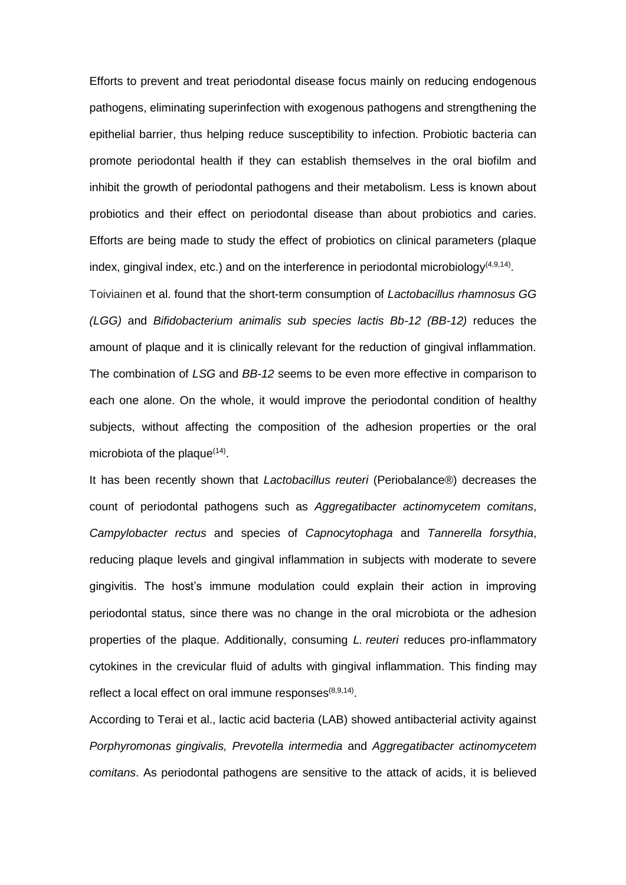Efforts to prevent and treat periodontal disease focus mainly on reducing endogenous pathogens, eliminating superinfection with exogenous pathogens and strengthening the epithelial barrier, thus helping reduce susceptibility to infection. Probiotic bacteria can promote periodontal health if they can establish themselves in the oral biofilm and inhibit the growth of periodontal pathogens and their metabolism. Less is known about probiotics and their effect on periodontal disease than about probiotics and caries. Efforts are being made to study the effect of probiotics on clinical parameters (plaque index, gingival index, etc.) and on the interference in periodontal microbiology $(4,9,14)$ .

Toiviainen et al. found that the short-term consumption of *Lactobacillus rhamnosus GG (LGG)* and *Bifidobacterium animalis sub species lactis Bb-12 (BB-12)* reduces the amount of plaque and it is clinically relevant for the reduction of gingival inflammation. The combination of *LSG* and *BB-12* seems to be even more effective in comparison to each one alone. On the whole, it would improve the periodontal condition of healthy subjects, without affecting the composition of the adhesion properties or the oral microbiota of the plaque $(14)$ .

It has been recently shown that *Lactobacillus reuteri* (Periobalance®) decreases the count of periodontal pathogens such as *Aggregatibacter actinomycetem comitans*, *Campylobacter rectus* and species of *Capnocytophaga* and *Tannerella forsythia*, reducing plaque levels and gingival inflammation in subjects with moderate to severe gingivitis. The host's immune modulation could explain their action in improving periodontal status, since there was no change in the oral microbiota or the adhesion properties of the plaque. Additionally, consuming *L. reuteri* reduces pro-inflammatory cytokines in the crevicular fluid of adults with gingival inflammation. This finding may reflect a local effect on oral immune responses<sup>(8,9,14)</sup>.

According to Terai et al., lactic acid bacteria (LAB) showed antibacterial activity against *Porphyromonas gingivalis, Prevotella intermedia* and *Aggregatibacter actinomycetem comitans*. As periodontal pathogens are sensitive to the attack of acids, it is believed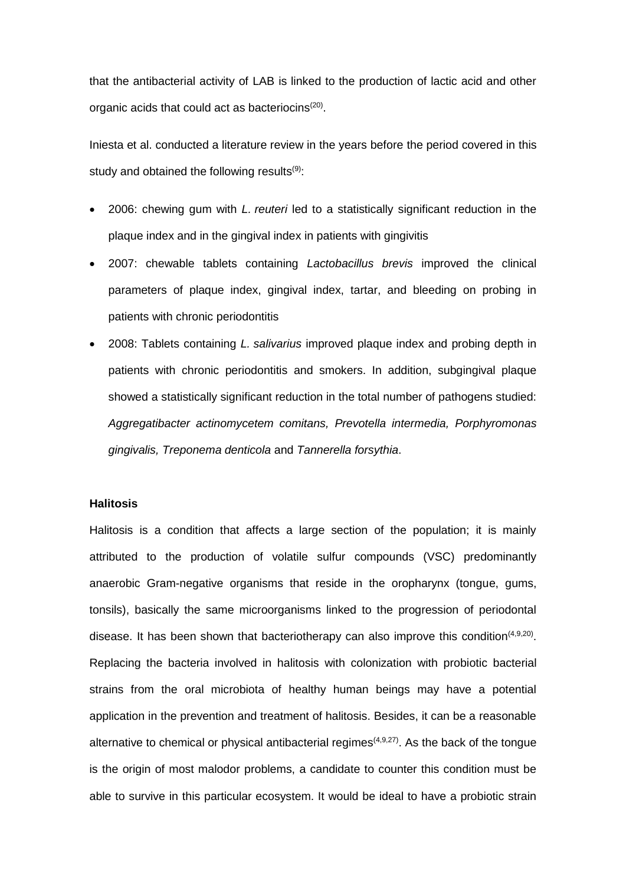that the antibacterial activity of LAB is linked to the production of lactic acid and other organic acids that could act as bacteriocins<sup>(20)</sup>.

Iniesta et al. conducted a literature review in the years before the period covered in this study and obtained the following results $(9)$ :

- 2006: chewing gum with *L. reuteri* led to a statistically significant reduction in the plaque index and in the gingival index in patients with gingivitis
- 2007: chewable tablets containing *Lactobacillus brevis* improved the clinical parameters of plaque index, gingival index, tartar, and bleeding on probing in patients with chronic periodontitis
- 2008: Tablets containing *L. salivarius* improved plaque index and probing depth in patients with chronic periodontitis and smokers. In addition, subgingival plaque showed a statistically significant reduction in the total number of pathogens studied: *Aggregatibacter actinomycetem comitans, Prevotella intermedia, Porphyromonas gingivalis, Treponema denticola* and *Tannerella forsythia*.

# **Halitosis**

Halitosis is a condition that affects a large section of the population; it is mainly attributed to the production of volatile sulfur compounds (VSC) predominantly anaerobic Gram-negative organisms that reside in the oropharynx (tongue, gums, tonsils), basically the same microorganisms linked to the progression of periodontal disease. It has been shown that bacteriotherapy can also improve this condition<sup> $(4,9,20)$ </sup>. Replacing the bacteria involved in halitosis with colonization with probiotic bacterial strains from the oral microbiota of healthy human beings may have a potential application in the prevention and treatment of halitosis. Besides, it can be a reasonable alternative to chemical or physical antibacterial regimes<sup> $(4,9,27)$ </sup>. As the back of the tongue is the origin of most malodor problems, a candidate to counter this condition must be able to survive in this particular ecosystem. It would be ideal to have a probiotic strain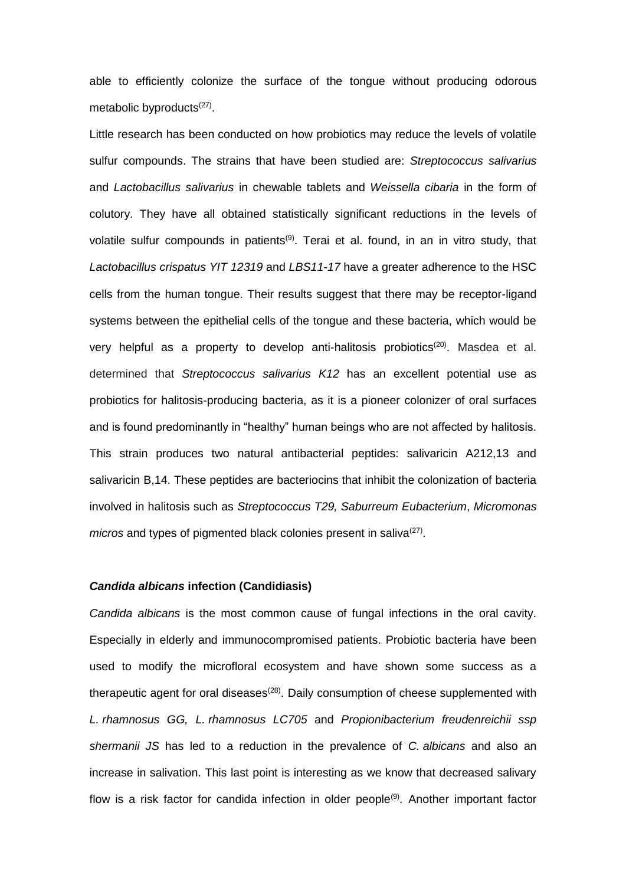able to efficiently colonize the surface of the tongue without producing odorous metabolic byproducts<sup>(27)</sup>.

Little research has been conducted on how probiotics may reduce the levels of volatile sulfur compounds. The strains that have been studied are: *Streptococcus salivarius* and *Lactobacillus salivarius* in chewable tablets and *Weissella cibaria* in the form of colutory. They have all obtained statistically significant reductions in the levels of volatile sulfur compounds in patients<sup>(9)</sup>. Terai et al. found, in an in vitro study, that *Lactobacillus crispatus YIT 12319* and *LBS11-17* have a greater adherence to the HSC cells from the human tongue. Their results suggest that there may be receptor-ligand systems between the epithelial cells of the tongue and these bacteria, which would be very helpful as a property to develop anti-halitosis probiotics<sup>(20)</sup>. Masdea et al. determined that *Streptococcus salivarius K12* has an excellent potential use as probiotics for halitosis-producing bacteria, as it is a pioneer colonizer of oral surfaces and is found predominantly in "healthy" human beings who are not affected by halitosis. This strain produces two natural antibacterial peptides: salivaricin A212,13 and salivaricin B,14. These peptides are bacteriocins that inhibit the colonization of bacteria involved in halitosis such as *Streptococcus T29, Saburreum Eubacterium*, *Micromonas*  micros and types of pigmented black colonies present in saliva<sup>(27)</sup>.

## *Candida albicans* **infection (Candidiasis)**

*Candida albicans* is the most common cause of fungal infections in the oral cavity. Especially in elderly and immunocompromised patients. Probiotic bacteria have been used to modify the microfloral ecosystem and have shown some success as a therapeutic agent for oral diseases<sup>(28)</sup>. Daily consumption of cheese supplemented with *L. rhamnosus GG, L. rhamnosus LC705* and *Propionibacterium freudenreichii ssp shermanii JS* has led to a reduction in the prevalence of *C. albicans* and also an increase in salivation. This last point is interesting as we know that decreased salivary flow is a risk factor for candida infection in older people<sup>(9)</sup>. Another important factor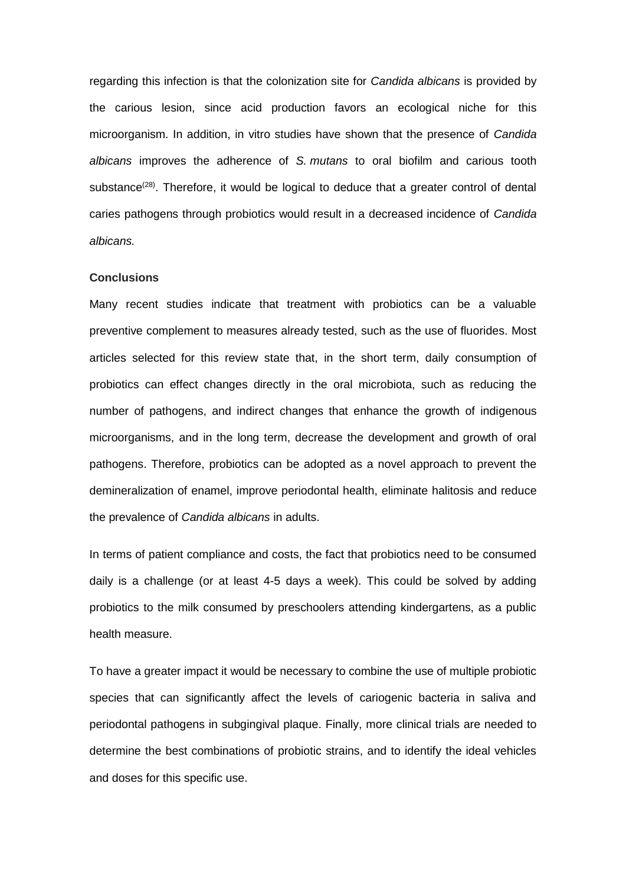regarding this infection is that the colonization site for *Candida albicans* is provided by the carious lesion, since acid production favors an ecological niche for this microorganism. In addition, in vitro studies have shown that the presence of *Candida albicans* improves the adherence of *S. mutans* to oral biofilm and carious tooth substance<sup>(28)</sup>. Therefore, it would be logical to deduce that a greater control of dental caries pathogens through probiotics would result in a decreased incidence of *Candida albicans.*

#### **Conclusions**

Many recent studies indicate that treatment with probiotics can be a valuable preventive complement to measures already tested, such as the use of fluorides. Most articles selected for this review state that, in the short term, daily consumption of probiotics can effect changes directly in the oral microbiota, such as reducing the number of pathogens, and indirect changes that enhance the growth of indigenous microorganisms, and in the long term, decrease the development and growth of oral pathogens. Therefore, probiotics can be adopted as a novel approach to prevent the demineralization of enamel, improve periodontal health, eliminate halitosis and reduce the prevalence of *Candida albicans* in adults.

In terms of patient compliance and costs, the fact that probiotics need to be consumed daily is a challenge (or at least 4-5 days a week). This could be solved by adding probiotics to the milk consumed by preschoolers attending kindergartens, as a public health measure.

To have a greater impact it would be necessary to combine the use of multiple probiotic species that can significantly affect the levels of cariogenic bacteria in saliva and periodontal pathogens in subgingival plaque. Finally, more clinical trials are needed to determine the best combinations of probiotic strains, and to identify the ideal vehicles and doses for this specific use.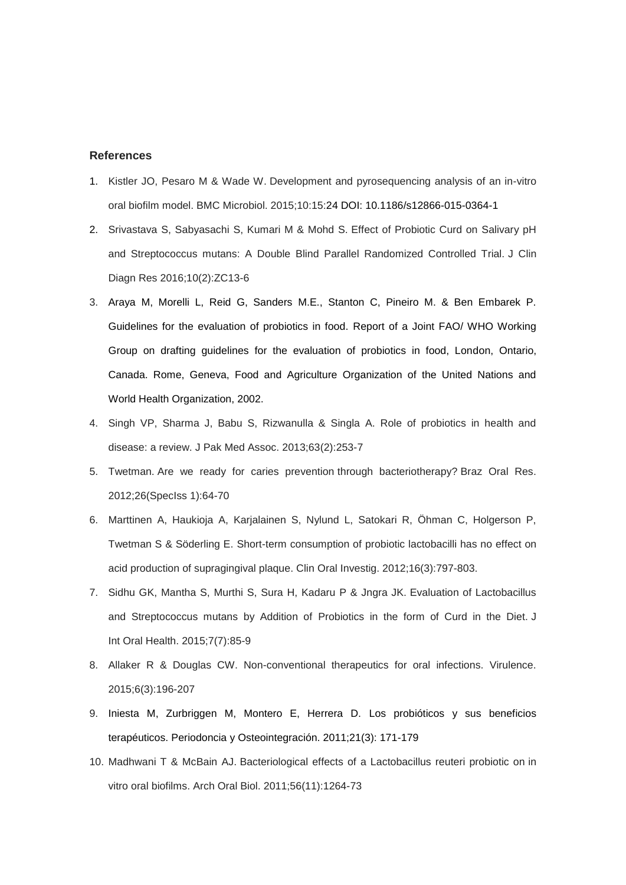# **References**

- 1. Kistler JO, Pesaro M & Wade W. Development and pyrosequencing analysis of an in-vitro oral biofilm model. BMC Microbiol. 2015;10:15:24 DOI: 10.1186/s12866-015-0364-1
- 2. Srivastava S, Sabyasachi S, Kumari M & Mohd S. Effect of Probiotic Curd on Salivary pH and Streptococcus mutans: A Double Blind Parallel Randomized Controlled Trial. J Clin Diagn Res 2016;10(2):ZC13-6
- 3. Araya M, Morelli L, Reid G, Sanders M.E., Stanton C, Pineiro M. & Ben Embarek P. Guidelines for the evaluation of probiotics in food. Report of a Joint FAO/ WHO Working Group on drafting guidelines for the evaluation of probiotics in food, London, Ontario, Canada. Rome, Geneva, Food and Agriculture Organization of the United Nations and World Health Organization, 2002.
- 4. Singh VP, Sharma J, Babu S, Rizwanulla & Singla A. Role of probiotics in health and disease: a review. J Pak Med Assoc. 2013;63(2):253-7
- 5. Twetman. Are we ready for caries prevention through bacteriotherapy? Braz Oral Res. 2012;26(SpecIss 1):64-70
- 6. Marttinen A, Haukioja A, Karjalainen S, Nylund L, Satokari R, Öhman C, Holgerson P, Twetman S & Söderling E. Short-term consumption of probiotic lactobacilli has no effect on acid production of supragingival plaque. Clin Oral Investig. 2012;16(3):797-803.
- 7. Sidhu GK, Mantha S, Murthi S, Sura H, Kadaru P & Jngra JK. Evaluation of Lactobacillus and Streptococcus mutans by Addition of Probiotics in the form of Curd in the Diet. J Int Oral Health. 2015;7(7):85-9
- 8. Allaker R & Douglas CW. Non-conventional therapeutics for oral infections. Virulence. 2015;6(3):196-207
- 9. Iniesta M, Zurbriggen M, Montero E, Herrera D. Los probióticos y sus beneficios terapéuticos. Periodoncia y Osteointegración. 2011;21(3): 171-179
- 10. Madhwani T & McBain AJ. Bacteriological effects of a Lactobacillus reuteri probiotic on in vitro oral biofilms. Arch Oral Biol. 2011;56(11):1264-73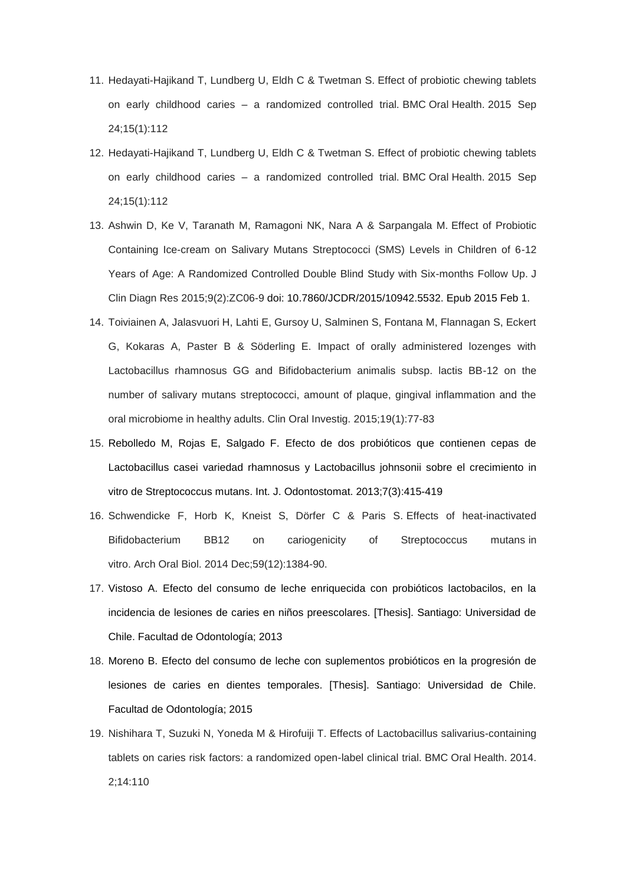- 11. Hedayati-Hajikand T, Lundberg U, Eldh C & Twetman S. Effect of probiotic chewing tablets on early childhood caries – a randomized controlled trial. BMC Oral Health. 2015 Sep 24;15(1):112
- 12. Hedayati-Hajikand T, Lundberg U, Eldh C & Twetman S. Effect of probiotic chewing tablets on early childhood caries – a randomized controlled trial. BMC Oral Health. 2015 Sep 24;15(1):112
- 13. Ashwin D, Ke V, Taranath M, Ramagoni NK, Nara A & Sarpangala M. Effect of Probiotic Containing Ice-cream on Salivary Mutans Streptococci (SMS) Levels in Children of 6-12 Years of Age: A Randomized Controlled Double Blind Study with Six-months Follow Up. J Clin Diagn Res 2015;9(2):ZC06-9 doi: 10.7860/JCDR/2015/10942.5532. Epub 2015 Feb 1.
- 14. Toiviainen A, Jalasvuori H, Lahti E, Gursoy U, Salminen S, Fontana M, Flannagan S, Eckert G, Kokaras A, Paster B & Söderling E. Impact of orally administered lozenges with Lactobacillus rhamnosus GG and Bifidobacterium animalis subsp. lactis BB-12 on the number of salivary mutans streptococci, amount of plaque, gingival inflammation and the oral microbiome in healthy adults. Clin Oral Investig. 2015;19(1):77-83
- 15. Rebolledo M, Rojas E, Salgado F. Efecto de dos probióticos que contienen cepas de Lactobacillus casei variedad rhamnosus y Lactobacillus johnsonii sobre el crecimiento in vitro de Streptococcus mutans. Int. J. Odontostomat. 2013;7(3):415-419
- 16. Schwendicke F, Horb K, Kneist S, Dörfer C & Paris S. Effects of heat-inactivated Bifidobacterium BB12 on cariogenicity of Streptococcus mutans in vitro. Arch Oral Biol. 2014 Dec;59(12):1384-90.
- 17. Vistoso A. Efecto del consumo de leche enriquecida con probióticos lactobacilos, en la incidencia de lesiones de caries en niños preescolares. [Thesis]. Santiago: Universidad de Chile. Facultad de Odontología; 2013
- 18. Moreno B. Efecto del consumo de leche con suplementos probióticos en la progresión de lesiones de caries en dientes temporales. [Thesis]. Santiago: Universidad de Chile. Facultad de Odontología; 2015
- 19. Nishihara T, Suzuki N, Yoneda M & Hirofuiji T. Effects of Lactobacillus salivarius-containing tablets on caries risk factors: a randomized open-label clinical trial. BMC Oral Health. 2014. 2;14:110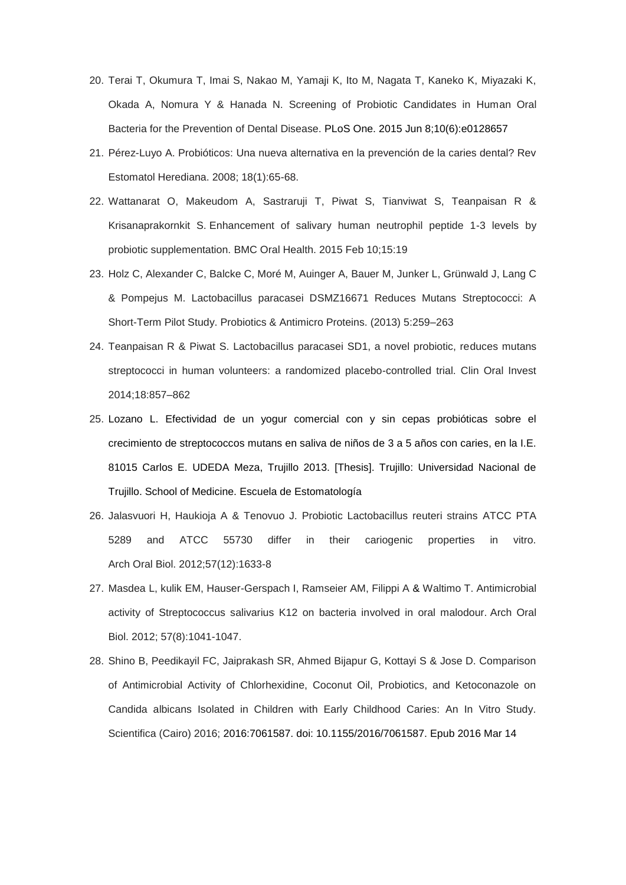- 20. Terai T, Okumura T, Imai S, Nakao M, Yamaji K, Ito M, Nagata T, Kaneko K, Miyazaki K, Okada A, Nomura Y & Hanada N. Screening of Probiotic Candidates in Human Oral Bacteria for the Prevention of Dental Disease. PLoS One. 2015 Jun 8;10(6):e0128657
- 21. Pérez-Luyo A. Probióticos: Una nueva alternativa en la prevención de la caries dental? Rev Estomatol Herediana. 2008; 18(1):65-68.
- 22. Wattanarat O, Makeudom A, Sastraruji T, Piwat S, Tianviwat S, Teanpaisan R & Krisanaprakornkit S. Enhancement of salivary human neutrophil peptide 1-3 levels by probiotic supplementation. BMC Oral Health. 2015 Feb 10;15:19
- 23. Holz C, Alexander C, Balcke C, Moré M, Auinger A, Bauer M, Junker L, Grünwald J, Lang C & Pompejus M. Lactobacillus paracasei DSMZ16671 Reduces Mutans Streptococci: A Short-Term Pilot Study. Probiotics & Antimicro Proteins. (2013) 5:259–263
- 24. Teanpaisan R & Piwat S. Lactobacillus paracasei SD1, a novel probiotic, reduces mutans streptococci in human volunteers: a randomized placebo-controlled trial. Clin Oral Invest 2014;18:857–862
- 25. Lozano L. Efectividad de un yogur comercial con y sin cepas probióticas sobre el crecimiento de streptococcos mutans en saliva de niños de 3 a 5 años con caries, en la I.E. 81015 Carlos E. UDEDA Meza, Trujillo 2013. [Thesis]. Trujillo: Universidad Nacional de Trujillo. School of Medicine. Escuela de Estomatología
- 26. Jalasvuori H, Haukioja A & Tenovuo J. Probiotic Lactobacillus reuteri strains ATCC PTA 5289 and ATCC 55730 differ in their cariogenic properties in vitro. Arch Oral Biol. 2012;57(12):1633-8
- 27. Masdea L, kulik EM, Hauser-Gerspach I, Ramseier AM, Filippi A & Waltimo T. Antimicrobial activity of Streptococcus salivarius K12 on bacteria involved in oral malodour. Arch Oral Biol. 2012; 57(8):1041-1047.
- 28. Shino B, Peedikayil FC, Jaiprakash SR, Ahmed Bijapur G, Kottayi S & Jose D. Comparison of Antimicrobial Activity of Chlorhexidine, Coconut Oil, Probiotics, and Ketoconazole on Candida albicans Isolated in Children with Early Childhood Caries: An In Vitro Study. Scientifica (Cairo) 2016; 2016:7061587. doi: 10.1155/2016/7061587. Epub 2016 Mar 14